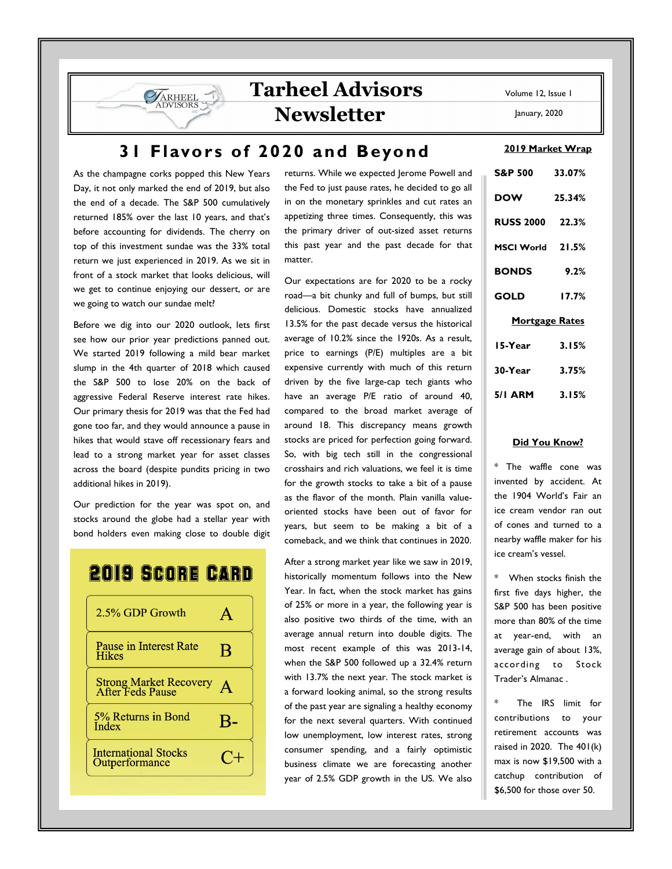## **Newsletter**

January, 2020

## **31 Flavors of 2020 and Beyond**

As the champagne corks popped this New Years Day, it not only marked the end of 2019, but also the end of a decade. The S&P 500 cumulatively returned 185% over the last 10 years, and that's before accounting for dividends. The cherry on top of this investment sundae was the 33% total return we just experienced in 2019. As we sit in front of a stock market that looks delicious, will we get to continue enjoying our dessert, or are we going to watch our sundae melt?

**SARHEEL** 

Before we dig into our 2020 outlook, lets first see how our prior year predictions panned out. We started 2019 following a mild bear market slump in the 4th quarter of 2018 which caused the S&P 500 to lose 20% on the back of aggressive Federal Reserve interest rate hikes. Our primary thesis for 2019 was that the Fed had gone too far, and they would announce a pause in hikes that would stave off recessionary fears and lead to a strong market year for asset classes across the board (despite pundits pricing in two additional hikes in 2019).

Our prediction for the year was spot on, and stocks around the globe had a stellar year with bond holders even making close to double digit

# **2019 SCORE CARD**



returns. While we expected Jerome Powell and the Fed to just pause rates, he decided to go all in on the monetary sprinkles and cut rates an appetizing three times. Consequently, this was the primary driver of out-sized asset returns this past year and the past decade for that matter.

Our expectations are for 2020 to be a rocky road—a bit chunky and full of bumps, but still delicious. Domestic stocks have annualized 13.5% for the past decade versus the historical average of 10.2% since the 1920s. As a result, price to earnings (P/E) multiples are a bit expensive currently with much of this return driven by the five large-cap tech giants who have an average P/E ratio of around 40, compared to the broad market average of around 18. This discrepancy means growth stocks are priced for perfection going forward. So, with big tech still in the congressional crosshairs and rich valuations, we feel it is time for the growth stocks to take a bit of a pause as the flavor of the month. Plain vanilla valueoriented stocks have been out of favor for years, but seem to be making a bit of a comeback, and we think that continues in 2020.

After a strong market year like we saw in 2019, historically momentum follows into the New Year. In fact, when the stock market has gains of 25% or more in a year, the following year is also positive two thirds of the time, with an average annual return into double digits. The most recent example of this was 2013-14, when the S&P 500 followed up a 32.4% return with 13.7% the next year. The stock market is a forward looking animal, so the strong results of the past year are signaling a healthy economy for the next several quarters. With continued low unemployment, low interest rates, strong consumer spending, and a fairly optimistic business climate we are forecasting another year of 2.5% GDP growth in the US. We also

| $\frac{2017 + 101}{100}$ Wildp |        |
|--------------------------------|--------|
| S&P 500 33.07%                 |        |
| <b>DOW</b>                     | 25.34% |
| <b>RUSS 2000 22.3%</b>         |        |
| MSCI World 21.5%               |        |
| <b>BONDS</b> 9.2%              |        |
| <b>GOLD</b>                    | 17.7%  |
| <b>Mortgage Rates</b>          |        |
| 15-Year                        | 3.15%  |
| 30-Year 3.75%                  |        |
| 5/1 ARM 3.15%                  |        |

#### **Did You Know?**

\* The waffle cone was invented by accident. At the 1904 World's Fair an ice cream vendor ran out of cones and turned to a nearby waffle maker for his ice cream's vessel.

\* When stocks finish the first five days higher, the S&P 500 has been positive more than 80% of the time at year-end, with an average gain of about 13%, according to Stock Trader's Almanac .

The IRS limit for contributions to your retirement accounts was raised in 2020. The 401(k) max is now \$19,500 with a catchup contribution of \$6,500 for those over 50.

#### **2019 Market Wrap**